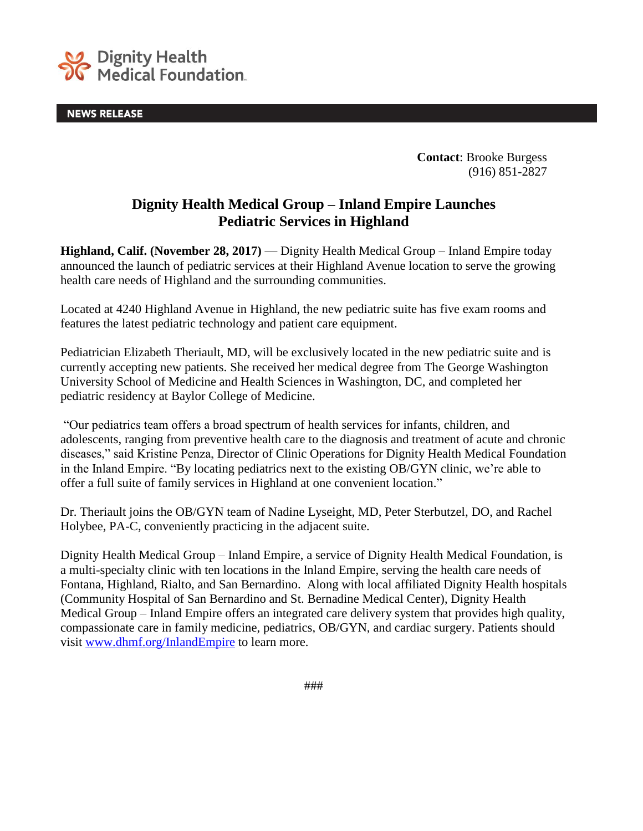

**NEWS RELEASE** 

**Contact**: Brooke Burgess (916) 851-2827

## **Dignity Health Medical Group – Inland Empire Launches Pediatric Services in Highland**

**Highland, Calif. (November 28, 2017) — Dignity Health Medical Group – Inland Empire today** announced the launch of pediatric services at their Highland Avenue location to serve the growing health care needs of Highland and the surrounding communities.

Located at 4240 Highland Avenue in Highland, the new pediatric suite has five exam rooms and features the latest pediatric technology and patient care equipment.

Pediatrician Elizabeth Theriault, MD, will be exclusively located in the new pediatric suite and is currently accepting new patients. She received her medical degree from The George Washington University School of Medicine and Health Sciences in Washington, DC, and completed her pediatric residency at Baylor College of Medicine.

"Our pediatrics team offers a broad spectrum of health services for infants, children, and adolescents, ranging from preventive health care to the diagnosis and treatment of acute and chronic diseases," said Kristine Penza, Director of Clinic Operations for Dignity Health Medical Foundation in the Inland Empire. "By locating pediatrics next to the existing OB/GYN clinic, we're able to offer a full suite of family services in Highland at one convenient location."

Dr. Theriault joins the OB/GYN team of Nadine Lyseight, MD, Peter Sterbutzel, DO, and Rachel Holybee, PA-C, conveniently practicing in the adjacent suite.

Dignity Health Medical Group – Inland Empire, a service of Dignity Health Medical Foundation, is a multi-specialty clinic with ten locations in the Inland Empire, serving the health care needs of Fontana, Highland, Rialto, and San Bernardino. Along with local affiliated Dignity Health hospitals (Community Hospital of San Bernardino and St. Bernadine Medical Center), Dignity Health Medical Group – Inland Empire offers an integrated care delivery system that provides high quality, compassionate care in family medicine, pediatrics, OB/GYN, and cardiac surgery. Patients should visit [www.dhmf.org/InlandEmpire](http://www.dhmf.org/InlandEmpire) to learn more.